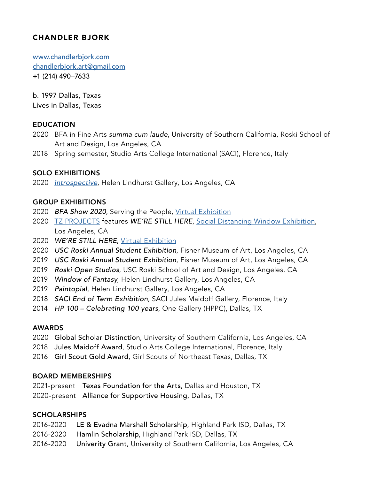# CHANDLER BJORK

[www.chandlerbjork.com](http://www.chandlerbjork.com) [chandlerbjork.art@gmail.com](mailto:chandlerbjork.art%40gmail.com?subject=) +1 (214) 490–7633

b. 1997 Dallas, Texas Lives in Dallas, Texas

## EDUCATION

- 2020 BFA in Fine Arts *summa cum laude*, University of Southern California, Roski School of Art and Design, Los Angeles, CA
- 2018 Spring semester, Studio Arts College International (SACI), Florence, Italy

## SOLO EXHIBITIONS

2020 *[introspective](http://www.chandlerbjork.com/introspective)*, Helen Lindhurst Gallery, Los Angeles, CA

#### GROUP EXHIBITIONS

- 2020 *BFA Show 2020*, Serving the People, [Virtual Exhibition](https://stp.world/collections/bfa-show-2020/products/athens-2020)
- 2020 [TZ PROJECTS](https://tzprojects.org/) features *WE'RE STILL HERE*, [Social Distancing](https://www.instagram.com/tzprojects/) Window [Exhibition,](https://www.instagram.com/tzprojects/) Los Angeles, CA
- 2020 *WE'RE STILL HERE*, [Virtual Exhibition](http://www.werestillhere.myportfolio.com)
- 2020 *USC Roski Annual Student Exhibition*, Fisher Museum of Art, Los Angeles, CA
- 2019 *USC Roski Annual Student Exhibition*, Fisher Museum of Art, Los Angeles, CA
- 2019 *Roski Open Studios*, USC Roski School of Art and Design, Los Angeles, CA
- 2019 *Window of Fantasy*, Helen Lindhurst Gallery, Los Angeles, CA
- 2019 *Paintopia!*, Helen Lindhurst Gallery, Los Angeles, CA
- 2018 *SACI End of Term Exhibition*, SACI Jules Maidoff Gallery, Florence, Italy
- 2014 *HP 100 Celebrating 100 years*, One Gallery (HPPC), Dallas, TX

### AWARDS

- 2020 Global Scholar Distinction, University of Southern California, Los Angeles, CA
- 2018 Jules Maidoff Award, Studio Arts College International, Florence, Italy
- 2016 Girl Scout Gold Award, Girl Scouts of Northeast Texas, Dallas, TX

### BOARD MEMBERSHIPS

2021-present Texas Foundation for the Arts, Dallas and Houston, TX 2020-present Alliance for Supportive Housing, Dallas, TX

### SCHOLARSHIPS

- 2016-2020 LE & Evadna Marshall Scholarship, Highland Park ISD, Dallas, TX
- 2016-2020 Hamlin Scholarship, Highland Park ISD, Dallas, TX
- 2016-2020 Univerity Grant, University of Southern California, Los Angeles, CA